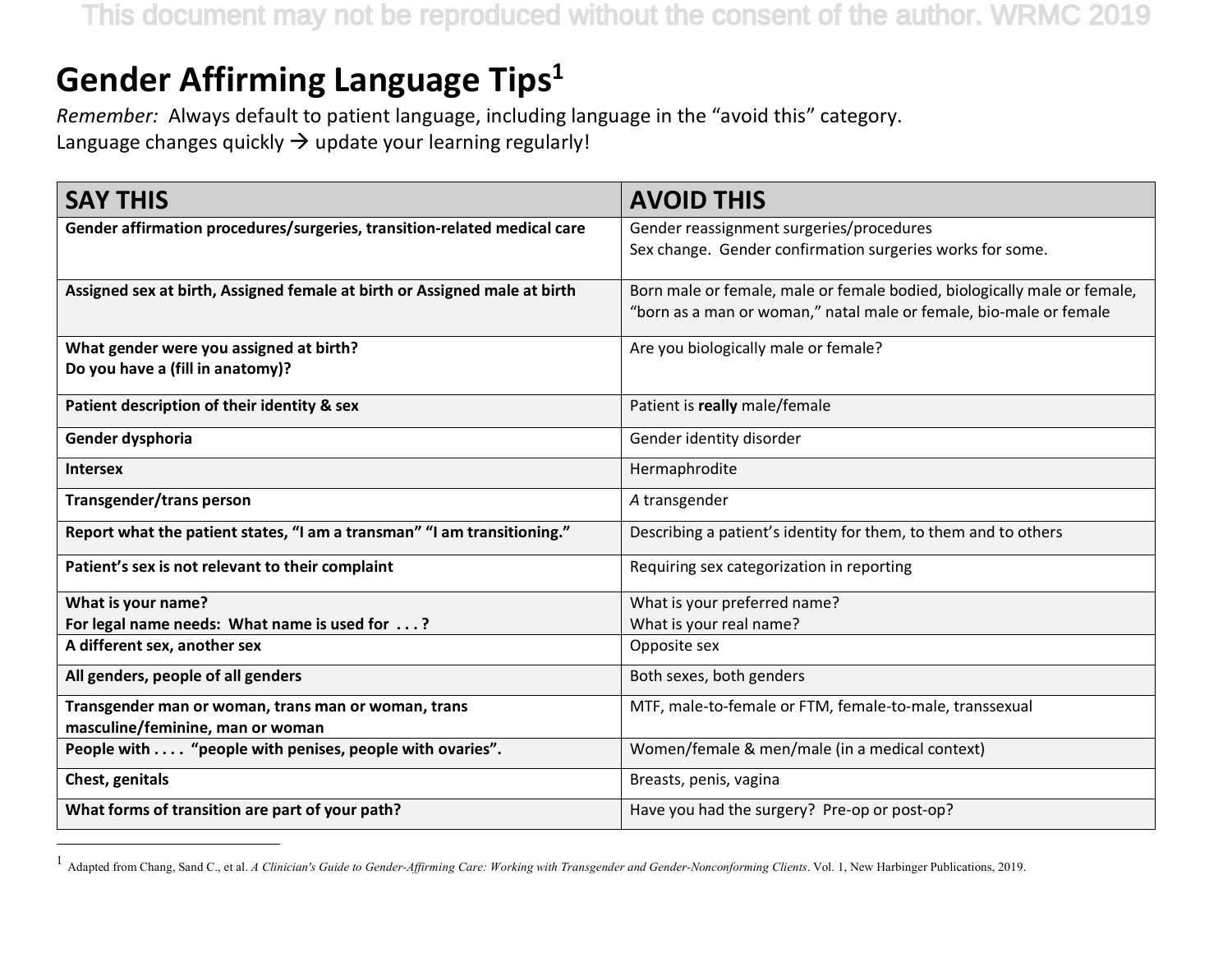This document may not be reproduced without the consent of the author. WRMC 2019

## **Gender Affirming Language Tips1**

 $\overline{a}$ 

*Remember:* Always default to patient language, including language in the "avoid this" category. Language changes quickly  $\rightarrow$  update your learning regularly!

| <b>SAY THIS</b>                                                           | <b>AVOID THIS</b>                                                                                                                              |
|---------------------------------------------------------------------------|------------------------------------------------------------------------------------------------------------------------------------------------|
| Gender affirmation procedures/surgeries, transition-related medical care  | Gender reassignment surgeries/procedures                                                                                                       |
|                                                                           | Sex change. Gender confirmation surgeries works for some.                                                                                      |
|                                                                           |                                                                                                                                                |
| Assigned sex at birth, Assigned female at birth or Assigned male at birth | Born male or female, male or female bodied, biologically male or female,<br>"born as a man or woman," natal male or female, bio-male or female |
|                                                                           |                                                                                                                                                |
| What gender were you assigned at birth?                                   | Are you biologically male or female?                                                                                                           |
| Do you have a (fill in anatomy)?                                          |                                                                                                                                                |
| Patient description of their identity & sex                               | Patient is really male/female                                                                                                                  |
| Gender dysphoria                                                          | Gender identity disorder                                                                                                                       |
| <b>Intersex</b>                                                           | Hermaphrodite                                                                                                                                  |
| Transgender/trans person                                                  | A transgender                                                                                                                                  |
| Report what the patient states, "I am a transman" "I am transitioning."   | Describing a patient's identity for them, to them and to others                                                                                |
| Patient's sex is not relevant to their complaint                          | Requiring sex categorization in reporting                                                                                                      |
| What is your name?                                                        | What is your preferred name?                                                                                                                   |
| For legal name needs: What name is used for ?                             | What is your real name?                                                                                                                        |
| A different sex, another sex                                              | Opposite sex                                                                                                                                   |
| All genders, people of all genders                                        | Both sexes, both genders                                                                                                                       |
| Transgender man or woman, trans man or woman, trans                       | MTF, male-to-female or FTM, female-to-male, transsexual                                                                                        |
| masculine/feminine, man or woman                                          |                                                                                                                                                |
| People with  "people with penises, people with ovaries".                  | Women/female & men/male (in a medical context)                                                                                                 |
| Chest, genitals                                                           | Breasts, penis, vagina                                                                                                                         |
| What forms of transition are part of your path?                           | Have you had the surgery? Pre-op or post-op?                                                                                                   |

<sup>&</sup>lt;sup>1</sup> Adapted from Chang, Sand C., et al. *A Clinician's Guide to Gender-Affirming Care: Working with Transgender and Gender-Nonconforming Clients. Vol. 1, New Harbinger Publications, 2019.*